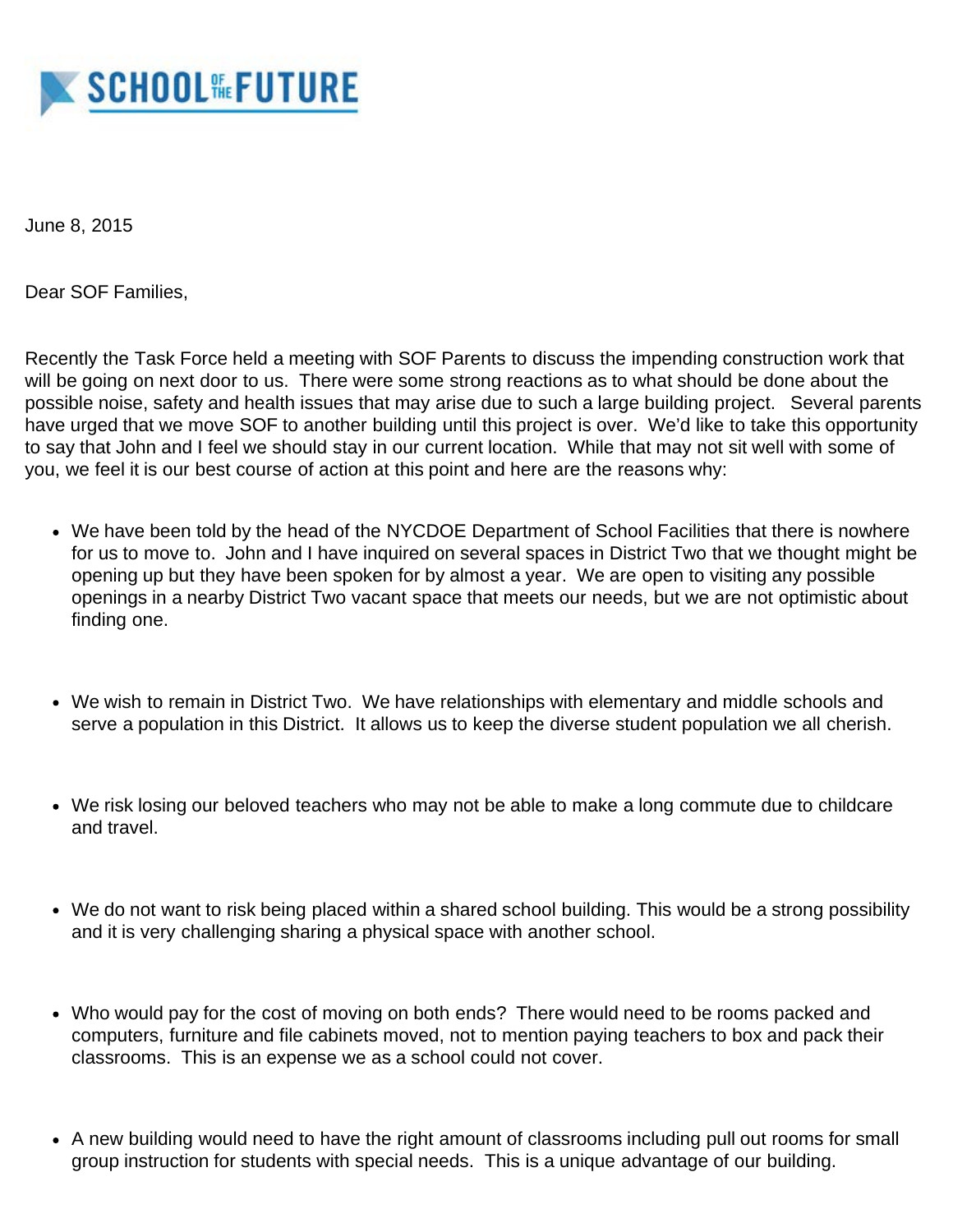

June 8, 2015

Dear SOF Families,

Recently the Task Force held a meeting with SOF Parents to discuss the impending construction work that will be going on next door to us. There were some strong reactions as to what should be done about the possible noise, safety and health issues that may arise due to such a large building project. Several parents have urged that we move SOF to another building until this project is over. We'd like to take this opportunity to say that John and I feel we should stay in our current location. While that may not sit well with some of you, we feel it is our best course of action at this point and here are the reasons why:

- We have been told by the head of the NYCDOE Department of School Facilities that there is nowhere for us to move to. John and I have inquired on several spaces in District Two that we thought might be opening up but they have been spoken for by almost a year. We are open to visiting any possible openings in a nearby District Two vacant space that meets our needs, but we are not optimistic about finding one.
- We wish to remain in District Two. We have relationships with elementary and middle schools and serve a population in this District. It allows us to keep the diverse student population we all cherish.
- We risk losing our beloved teachers who may not be able to make a long commute due to childcare and travel.
- We do not want to risk being placed within a shared school building. This would be a strong possibility and it is very challenging sharing a physical space with another school.
- Who would pay for the cost of moving on both ends? There would need to be rooms packed and computers, furniture and file cabinets moved, not to mention paying teachers to box and pack their classrooms. This is an expense we as a school could not cover.
- A new building would need to have the right amount of classrooms including pull out rooms for small group instruction for students with special needs. This is a unique advantage of our building.